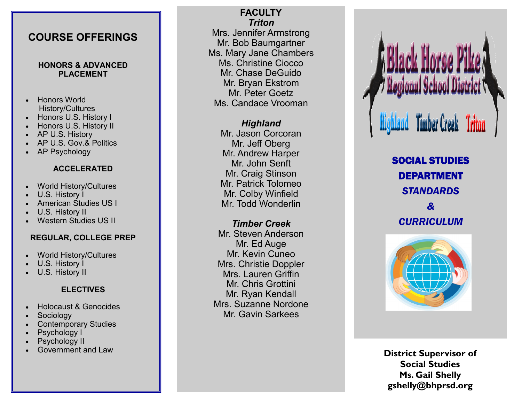## **COURSE OFFERINGS**

#### **HONORS & ADVANCED PLACEMENT**

- Honors World History/Cultures
- Honors U.S. History I
- Honors U.S. History II
- AP U.S. History
- AP U.S. Gov.& Politics
- AP Psychology

### **ACCELERATED**

- World History/Cultures
- U.S. History I
- American Studies US I
- U.S. History II
- Western Studies US II

### **REGULAR, COLLEGE PREP**

- World History/Cultures
- U.S. History I
- U.S. History II

## **ELECTIVES**

- Holocaust & Genocides
- **Sociology**
- Contemporary Studies
- Psychology I
- Psychology II
- Government and Law

**FACULTY** *Triton* Mrs. Jennifer Armstrong Mr. Bob Baumgartner Ms. Mary Jane Chambers Ms. Christine Ciocco Mr. Chase DeGuido Mr. Bryan Ekstrom Mr. Peter Goetz Ms. Candace Vrooman

> *Highland* Mr. Jason Corcoran Mr. Jeff Oberg Mr. Andrew Harper Mr. John Senft Mr. Craig Stinson Mr. Patrick Tolomeo Mr. Colby Winfield Mr. Todd Wonderlin

## *Timber Creek*

Mr. Steven Anderson Mr. Ed Auge Mr. Kevin Cuneo Mrs. Christie Doppler Mrs. Lauren Griffin Mr. Chris Grottini Mr. Ryan Kendall Mrs. Suzanne Nordone Mr. Gavin Sarkees

egional School District **Timber Creek Triton** 

> SOCIAL STUDIES DEPARTMENT *STANDARDS & CURRICULUM*



**District Supervisor of Social Studies Ms. Gail Shelly gshelly@bhprsd.org**